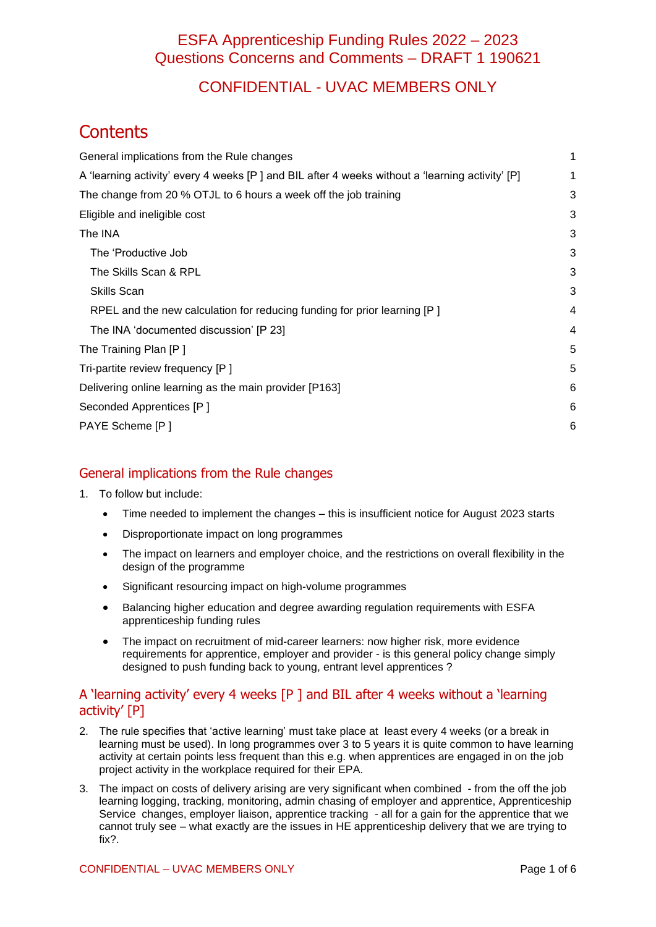## CONFIDENTIAL - UVAC MEMBERS ONLY

# **Contents**

| General implications from the Rule changes                                                      | 1 |
|-------------------------------------------------------------------------------------------------|---|
| A 'learning activity' every 4 weeks [P] and BIL after 4 weeks without a 'learning activity' [P] | 1 |
| The change from 20 % OTJL to 6 hours a week off the job training                                | 3 |
| Eligible and ineligible cost                                                                    | 3 |
| The INA                                                                                         | 3 |
| The 'Productive Job                                                                             | 3 |
| The Skills Scan & RPL                                                                           | 3 |
| <b>Skills Scan</b>                                                                              | 3 |
| RPEL and the new calculation for reducing funding for prior learning [P]                        | 4 |
| The INA 'documented discussion' [P 23]                                                          | 4 |
| The Training Plan [P]                                                                           | 5 |
| Tri-partite review frequency [P]                                                                | 5 |
| Delivering online learning as the main provider [P163]                                          | 6 |
| Seconded Apprentices [P]                                                                        | 6 |
| PAYE Scheme [P]                                                                                 | 6 |
|                                                                                                 |   |

### <span id="page-0-0"></span>General implications from the Rule changes

- 1. To follow but include:
	- Time needed to implement the changes this is insufficient notice for August 2023 starts
	- Disproportionate impact on long programmes
	- The impact on learners and employer choice, and the restrictions on overall flexibility in the design of the programme
	- Significant resourcing impact on high-volume programmes
	- Balancing higher education and degree awarding regulation requirements with ESFA apprenticeship funding rules
	- The impact on recruitment of mid-career learners: now higher risk, more evidence requirements for apprentice, employer and provider - is this general policy change simply designed to push funding back to young, entrant level apprentices ?

#### <span id="page-0-1"></span>A 'learning activity' every 4 weeks [P ] and BIL after 4 weeks without a 'learning activity' [P]

- 2. The rule specifies that 'active learning' must take place at least every 4 weeks (or a break in learning must be used). In long programmes over 3 to 5 years it is quite common to have learning activity at certain points less frequent than this e.g. when apprentices are engaged in on the job project activity in the workplace required for their EPA.
- 3. The impact on costs of delivery arising are very significant when combined from the off the job learning logging, tracking, monitoring, admin chasing of employer and apprentice, Apprenticeship Service changes, employer liaison, apprentice tracking - all for a gain for the apprentice that we cannot truly see – what exactly are the issues in HE apprenticeship delivery that we are trying to fix?.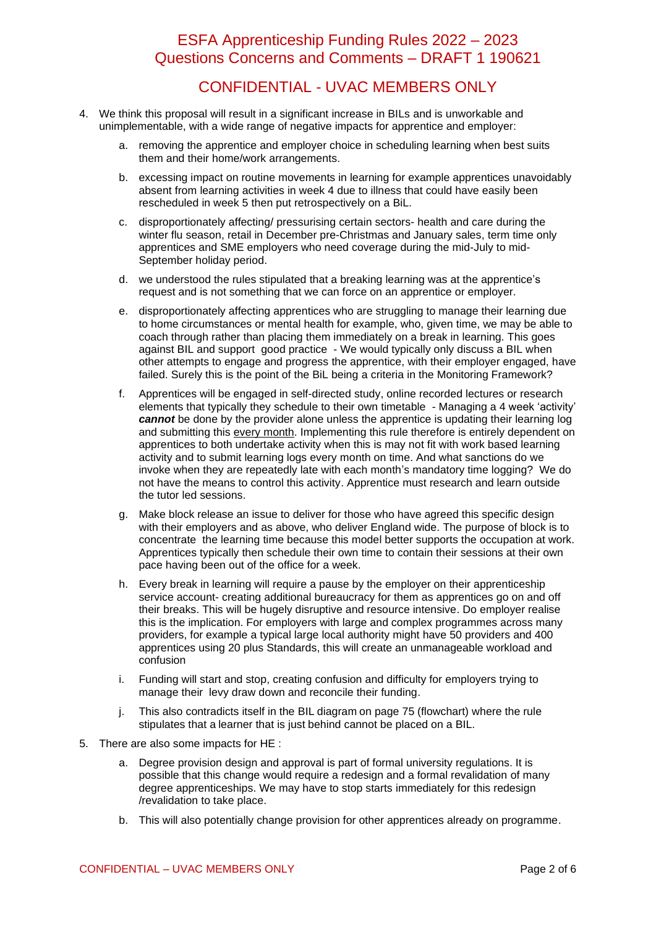## CONFIDENTIAL - UVAC MEMBERS ONLY

- 4. We think this proposal will result in a significant increase in BILs and is unworkable and unimplementable, with a wide range of negative impacts for apprentice and employer:
	- a. removing the apprentice and employer choice in scheduling learning when best suits them and their home/work arrangements.
	- b. excessing impact on routine movements in learning for example apprentices unavoidably absent from learning activities in week 4 due to illness that could have easily been rescheduled in week 5 then put retrospectively on a BiL.
	- c. disproportionately affecting/ pressurising certain sectors- health and care during the winter flu season, retail in December pre-Christmas and January sales, term time only apprentices and SME employers who need coverage during the mid-July to mid-September holiday period.
	- d. we understood the rules stipulated that a breaking learning was at the apprentice's request and is not something that we can force on an apprentice or employer.
	- e. disproportionately affecting apprentices who are struggling to manage their learning due to home circumstances or mental health for example, who, given time, we may be able to coach through rather than placing them immediately on a break in learning. This goes against BIL and support good practice - We would typically only discuss a BIL when other attempts to engage and progress the apprentice, with their employer engaged, have failed. Surely this is the point of the BiL being a criteria in the Monitoring Framework?
	- f. Apprentices will be engaged in self-directed study, online recorded lectures or research elements that typically they schedule to their own timetable - Managing a 4 week 'activity' *cannot* be done by the provider alone unless the apprentice is updating their learning log and submitting this every month. Implementing this rule therefore is entirely dependent on apprentices to both undertake activity when this is may not fit with work based learning activity and to submit learning logs every month on time. And what sanctions do we invoke when they are repeatedly late with each month's mandatory time logging? We do not have the means to control this activity. Apprentice must research and learn outside the tutor led sessions.
	- g. Make block release an issue to deliver for those who have agreed this specific design with their employers and as above, who deliver England wide. The purpose of block is to concentrate the learning time because this model better supports the occupation at work. Apprentices typically then schedule their own time to contain their sessions at their own pace having been out of the office for a week.
	- h. Every break in learning will require a pause by the employer on their apprenticeship service account- creating additional bureaucracy for them as apprentices go on and off their breaks. This will be hugely disruptive and resource intensive. Do employer realise this is the implication. For employers with large and complex programmes across many providers, for example a typical large local authority might have 50 providers and 400 apprentices using 20 plus Standards, this will create an unmanageable workload and confusion
	- i. Funding will start and stop, creating confusion and difficulty for employers trying to manage their levy draw down and reconcile their funding.
	- j. This also contradicts itself in the BIL diagram on page 75 (flowchart) where the rule stipulates that a learner that is just behind cannot be placed on a BIL.
- 5. There are also some impacts for HE :
	- a. Degree provision design and approval is part of formal university regulations. It is possible that this change would require a redesign and a formal revalidation of many degree apprenticeships. We may have to stop starts immediately for this redesign /revalidation to take place.
	- b. This will also potentially change provision for other apprentices already on programme.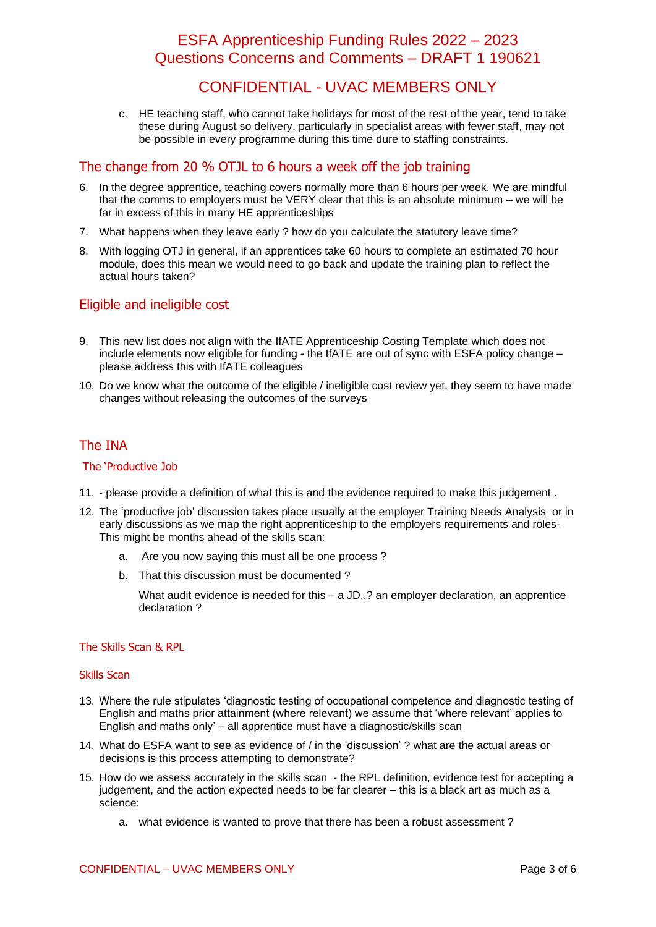## CONFIDENTIAL - UVAC MEMBERS ONLY

c. HE teaching staff, who cannot take holidays for most of the rest of the year, tend to take these during August so delivery, particularly in specialist areas with fewer staff, may not be possible in every programme during this time dure to staffing constraints.

#### <span id="page-2-0"></span>The change from 20 % OTJL to 6 hours a week off the job training

- 6. In the degree apprentice, teaching covers normally more than 6 hours per week. We are mindful that the comms to employers must be VERY clear that this is an absolute minimum – we will be far in excess of this in many HE apprenticeships
- 7. What happens when they leave early ? how do you calculate the statutory leave time?
- 8. With logging OTJ in general, if an apprentices take 60 hours to complete an estimated 70 hour module, does this mean we would need to go back and update the training plan to reflect the actual hours taken?

### <span id="page-2-1"></span>Eligible and ineligible cost

- 9. This new list does not align with the IfATE Apprenticeship Costing Template which does not include elements now eligible for funding - the IfATE are out of sync with ESFA policy change – please address this with IfATE colleagues
- 10. Do we know what the outcome of the eligible / ineligible cost review yet, they seem to have made changes without releasing the outcomes of the surveys

#### <span id="page-2-2"></span>The INA

#### <span id="page-2-3"></span>The 'Productive Job

- 11. please provide a definition of what this is and the evidence required to make this judgement .
- 12. The 'productive job' discussion takes place usually at the employer Training Needs Analysis or in early discussions as we map the right apprenticeship to the employers requirements and roles-This might be months ahead of the skills scan:
	- a. Are you now saying this must all be one process ?
	- b. That this discussion must be documented ?

What audit evidence is needed for this  $- a$  JD..? an employer declaration, an apprentice declaration ?

#### <span id="page-2-4"></span>The Skills Scan & RPL

#### <span id="page-2-5"></span>Skills Scan

- 13. Where the rule stipulates 'diagnostic testing of occupational competence and diagnostic testing of English and maths prior attainment (where relevant) we assume that 'where relevant' applies to English and maths only' – all apprentice must have a diagnostic/skills scan
- 14. What do ESFA want to see as evidence of / in the 'discussion' ? what are the actual areas or decisions is this process attempting to demonstrate?
- 15. How do we assess accurately in the skills scan the RPL definition, evidence test for accepting a judgement, and the action expected needs to be far clearer – this is a black art as much as a science:
	- a. what evidence is wanted to prove that there has been a robust assessment ?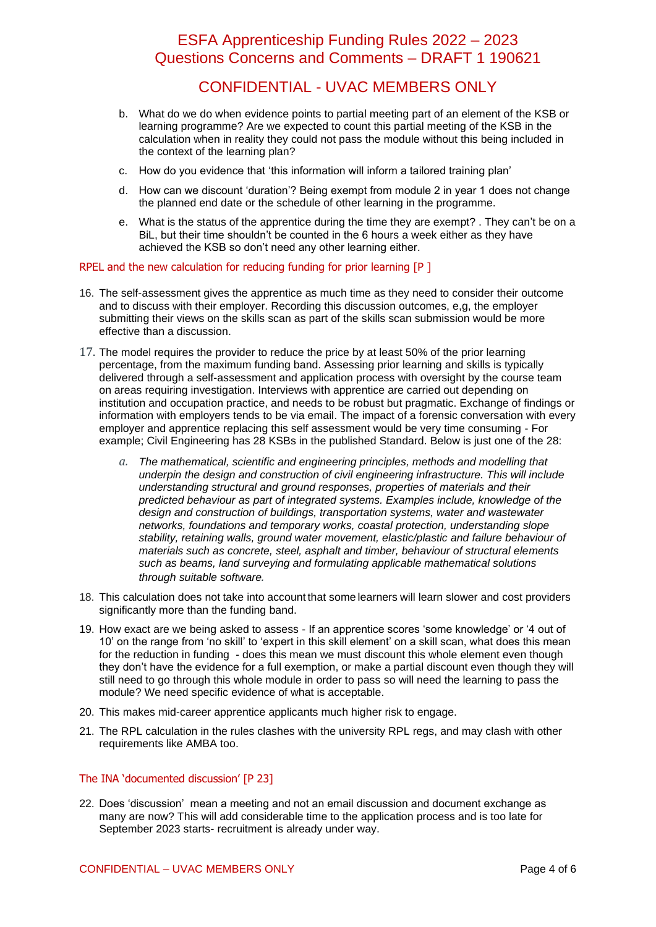## CONFIDENTIAL - UVAC MEMBERS ONLY

- b. What do we do when evidence points to partial meeting part of an element of the KSB or learning programme? Are we expected to count this partial meeting of the KSB in the calculation when in reality they could not pass the module without this being included in the context of the learning plan?
- c. How do you evidence that 'this information will inform a tailored training plan'
- d. How can we discount 'duration'? Being exempt from module 2 in year 1 does not change the planned end date or the schedule of other learning in the programme.
- e. What is the status of the apprentice during the time they are exempt? . They can't be on a BiL, but their time shouldn't be counted in the 6 hours a week either as they have achieved the KSB so don't need any other learning either.

#### <span id="page-3-0"></span>RPEL and the new calculation for reducing funding for prior learning [P ]

- 16. The self-assessment gives the apprentice as much time as they need to consider their outcome and to discuss with their employer. Recording this discussion outcomes, e,g, the employer submitting their views on the skills scan as part of the skills scan submission would be more effective than a discussion.
- 17. The model requires the provider to reduce the price by at least 50% of the prior learning percentage, from the maximum funding band. Assessing prior learning and skills is typically delivered through a self-assessment and application process with oversight by the course team on areas requiring investigation. Interviews with apprentice are carried out depending on institution and occupation practice, and needs to be robust but pragmatic. Exchange of findings or information with employers tends to be via email. The impact of a forensic conversation with every employer and apprentice replacing this self assessment would be very time consuming - For example; Civil Engineering has 28 KSBs in the published Standard. Below is just one of the 28:
	- *a. The mathematical, scientific and engineering principles, methods and modelling that underpin the design and construction of civil engineering infrastructure. This will include understanding structural and ground responses, properties of materials and their predicted behaviour as part of integrated systems. Examples include, knowledge of the design and construction of buildings, transportation systems, water and wastewater networks, foundations and temporary works, coastal protection, understanding slope stability, retaining walls, ground water movement, elastic/plastic and failure behaviour of materials such as concrete, steel, asphalt and timber, behaviour of structural elements such as beams, land surveying and formulating applicable mathematical solutions through suitable software.*
- 18. This calculation does not take into account that some learners will learn slower and cost providers significantly more than the funding band.
- 19. How exact are we being asked to assess If an apprentice scores 'some knowledge' or '4 out of 10' on the range from 'no skill' to 'expert in this skill element' on a skill scan, what does this mean for the reduction in funding - does this mean we must discount this whole element even though they don't have the evidence for a full exemption, or make a partial discount even though they will still need to go through this whole module in order to pass so will need the learning to pass the module? We need specific evidence of what is acceptable.
- 20. This makes mid-career apprentice applicants much higher risk to engage.
- 21. The RPL calculation in the rules clashes with the university RPL regs, and may clash with other requirements like AMBA too.

#### <span id="page-3-1"></span>The INA 'documented discussion' [P 23]

22. Does 'discussion' mean a meeting and not an email discussion and document exchange as many are now? This will add considerable time to the application process and is too late for September 2023 starts- recruitment is already under way.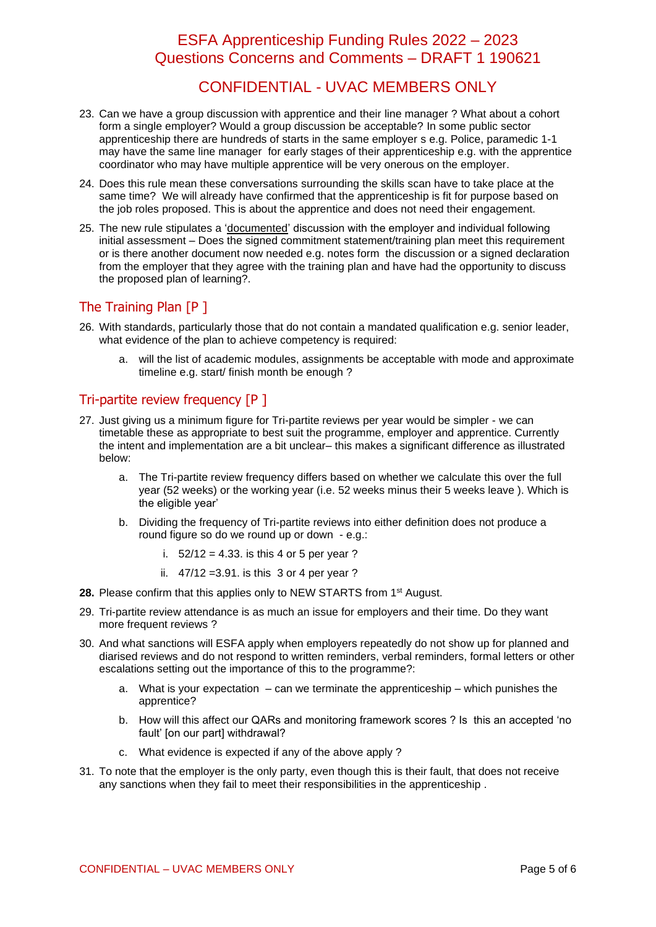## CONFIDENTIAL - UVAC MEMBERS ONLY

- 23. Can we have a group discussion with apprentice and their line manager ? What about a cohort form a single employer? Would a group discussion be acceptable? In some public sector apprenticeship there are hundreds of starts in the same employer s e.g. Police, paramedic 1-1 may have the same line manager for early stages of their apprenticeship e.g. with the apprentice coordinator who may have multiple apprentice will be very onerous on the employer.
- 24. Does this rule mean these conversations surrounding the skills scan have to take place at the same time? We will already have confirmed that the apprenticeship is fit for purpose based on the job roles proposed. This is about the apprentice and does not need their engagement.
- 25. The new rule stipulates a 'documented' discussion with the employer and individual following initial assessment – Does the signed commitment statement/training plan meet this requirement or is there another document now needed e.g. notes form the discussion or a signed declaration from the employer that they agree with the training plan and have had the opportunity to discuss the proposed plan of learning?.

#### <span id="page-4-0"></span>The Training Plan [P ]

- 26. With standards, particularly those that do not contain a mandated qualification e.g. senior leader, what evidence of the plan to achieve competency is required:
	- a. will the list of academic modules, assignments be acceptable with mode and approximate timeline e.g. start/ finish month be enough ?

#### <span id="page-4-1"></span>Tri-partite review frequency [P ]

- 27. Just giving us a minimum figure for Tri-partite reviews per year would be simpler we can timetable these as appropriate to best suit the programme, employer and apprentice. Currently the intent and implementation are a bit unclear– this makes a significant difference as illustrated below:
	- a. The Tri-partite review frequency differs based on whether we calculate this over the full year (52 weeks) or the working year (i.e. 52 weeks minus their 5 weeks leave ). Which is the eligible year'
	- b. Dividing the frequency of Tri-partite reviews into either definition does not produce a round figure so do we round up or down - e.g.:
		- i.  $52/12 = 4.33$ . is this 4 or 5 per year ?
		- ii. 47/12 =3.91. is this 3 or 4 per year ?
- **28.** Please confirm that this applies only to NEW STARTS from 1<sup>st</sup> August.
- 29. Tri-partite review attendance is as much an issue for employers and their time. Do they want more frequent reviews?
- 30. And what sanctions will ESFA apply when employers repeatedly do not show up for planned and diarised reviews and do not respond to written reminders, verbal reminders, formal letters or other escalations setting out the importance of this to the programme?:
	- a. What is your expectation can we terminate the apprenticeship which punishes the apprentice?
	- b. How will this affect our QARs and monitoring framework scores ? Is this an accepted 'no fault' [on our part] withdrawal?
	- c. What evidence is expected if any of the above apply ?
- 31. To note that the employer is the only party, even though this is their fault, that does not receive any sanctions when they fail to meet their responsibilities in the apprenticeship .